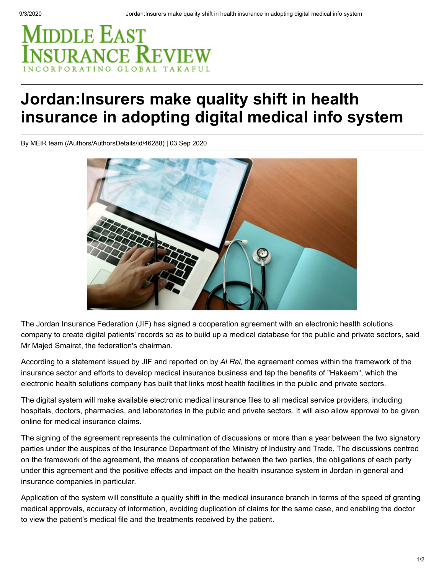## MIDDLE EAST **SURANCE REVIE**

## **Jordan:Insurers make quality shift in health insurance in adopting digital medical info system**

[By MEIR team \(/Authors/AuthorsDetails/id/46288\)](https://www.meinsurancereview.com/Authors/AuthorsDetails/id/46288) | 03 Sep 2020



The Jordan Insurance Federation (JIF) has signed a cooperation agreement with an electronic health solutions company to create digital patients' records so as to build up a medical database for the public and private sectors, said Mr Majed Smairat, the federation's chairman.

According to a statement issued by JIF and reported on by *Al Rai,* the agreement comes within the framework of the insurance sector and efforts to develop medical insurance business and tap the benefits of "Hakeem", which the electronic health solutions company has built that links most health facilities in the public and private sectors.

The digital system will make available electronic medical insurance files to all medical service providers, including hospitals, doctors, pharmacies, and laboratories in the public and private sectors. It will also allow approval to be given online for medical insurance claims.

The signing of the agreement represents the culmination of discussions or more than a year between the two signatory parties under the auspices of the Insurance Department of the Ministry of Industry and Trade. The discussions centred on the framework of the agreement, the means of cooperation between the two parties, the obligations of each party under this agreement and the positive effects and impact on the health insurance system in Jordan in general and insurance companies in particular.

Application of the system will constitute a quality shift in the medical insurance branch in terms of the speed of granting medical approvals, accuracy of information, avoiding duplication of claims for the same case, and enabling the doctor to view the patient's medical file and the treatments received by the patient.